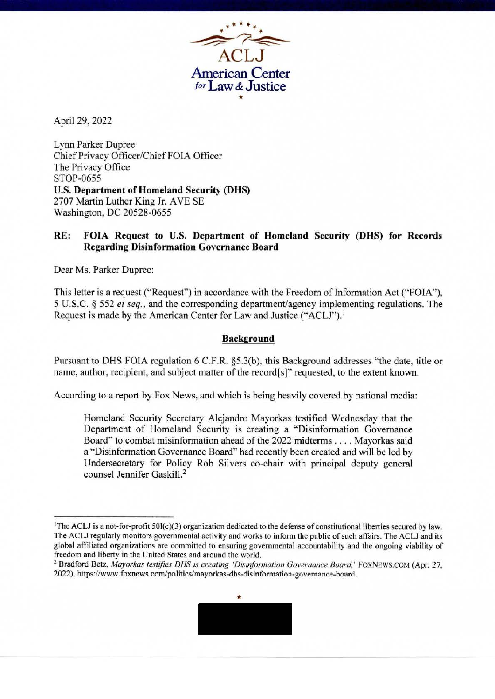•• \* ••  $\frac{1}{2}$ **ACLJ American Center**  *1°r* **Law** *&* **Justice** 

April 29, 2022

Lynn Parker Dupree Chief Privacy Officer/Chief FOIA Officer The Privacy Office STOP-0655 **U.S. Department of Homeland Security (DHS)**  2707 Martin Luther King Jr. A VE SE Washington, DC 20528-0655

## **RE: FOIA Request to U.S. Department of Homeland Security (DHS) for Records Regarding Disinformation Governance Board**

Dear Ms. Parker Dupree:

This letter is a request ("Request") in accordance with the Freedom of Information Act ("FOIA"), *5* U.S.C. § 552 *et seq.,* and the corresponding department/agency implementing regulations. The Request is made by the American Center for Law and Justice ("ACLJ"). <sup>1</sup>

## **Background**

Pursuant to OHS FOIA regulation 6 C.F.R. §5.3(b), this Background addresses "the date, title or name, author, recipient, and subject matter of the record[s]" requested, to the extent known.

According to a report by Fox News, and which is being heavily covered by national media:

Homeland Security Secretary Alejandro Mayorkas testified Wednesday that the Department of Homeland Security is creating a "Disinformation Governance Board" to combat misinformation ahead of the 2022 midterms .... Mayorkas said a "Disinformation Governance Board" had recently been created and will be led by Undersecretary for Policy Rob Silvers co-chair with principal deputy general counsel Jennifer Gaskill.2

<sup>&</sup>lt;sup>2</sup> Bradford Betz, *Mayorkas testifies DHS is creating 'Disinformation Governance Board*,' FOXNEWS.COM (Apr. 27, 2022), https://www.foxnews.com/politics/mayorkas-dhs-disinformation-govemance-board.



<sup>1</sup> The ACLJ is a not-for-profit 501(c)(3) organization dedicated to the defense of constitutional liberties secured by law. The ACLJ regularly monitors governmental activity and works to inform the public of such affairs. The ACLJ and its global affiliated organizations are committed to ensuring governmental accountability and the ongoing viability of freedom and liberty in the United States and around the world.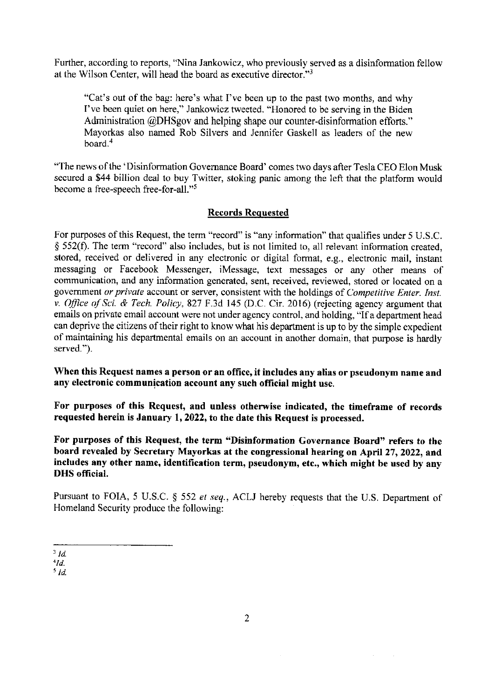Further, according to reports, "Nina Jankowicz, who previously served as a disinformation fellow at the Wilson Center, will head the board as executive director."<sup>3</sup>

"Cat's out of the bag: here's what I've been up to the past two months, and why I've been quiet on here," Jankowicz tweeted. "Honored to be serving in the Biden Administration @DHSgov and helping shape our counter-disinformation efforts." Mayorkas also named Rob Silvers and Jennifer Gaskell as leaders of the new board.<sup>4</sup>

"The news of the 'Disinformation Governance Board' comes two days after Tesla CEO Elon Musk secured a \$44 billion deal to buy Twitter, stoking panic among the left that the platform would become a free-speech free-for-all."<sup>5</sup>

## **Records Requested**

For purposes of this Request, the term "record" is "any information" that qualifies under 5 U.S.C. § 552(f). The term "record" also includes, but is not limited to, all relevant information created, stored, received or delivered in any electronic or digital format, e.g., electronic mail, instant messaging or Facebook Messenger, iMessage, text messages or any other means of communication, and any information generated, sent, received, reviewed, stored or located on a government *or private* account or server, consistent with the holdings of *Competitive Enter. Inst. v. Office of Sci. & Tech. Policy,* 827 F .3d 145 (D.C. Cir. 2016) (rejecting agency argument that emails on private email account were not under agency control, and holding, "If a department head can deprive the citizens of their right to know what his department is up to by the simple expedient of maintaining his departmental emails on an account in another domain, that purpose is hardly served.").

**When this Request names a person or an office, it includes any alias or pseudonym name and any electronic communjcation account any such official might use.** 

**For purposes of this Request, and unless otherwise indicated, the timeframe of records requested herein is January 1, 2022, to the date this Request is processed.** 

**For purposes of this Request, the term "Disinformation Governance Board" refers to the board revealed by Secretary Mayorkas at the congressional hearing on April 27, 2022, and includes any other name, identification term, pseudonym, etc., which might be used by any DHS official.** 

Pursuant to FOTA, 5 U.S.C. § 552 *et seq.,* ACLJ hereby requests that the U.S. Department of Homeland Security produce the following:

<sup>3</sup>*Id.* 

*<sup>&#</sup>x27;Id.* 

<sup>5</sup>*Id.*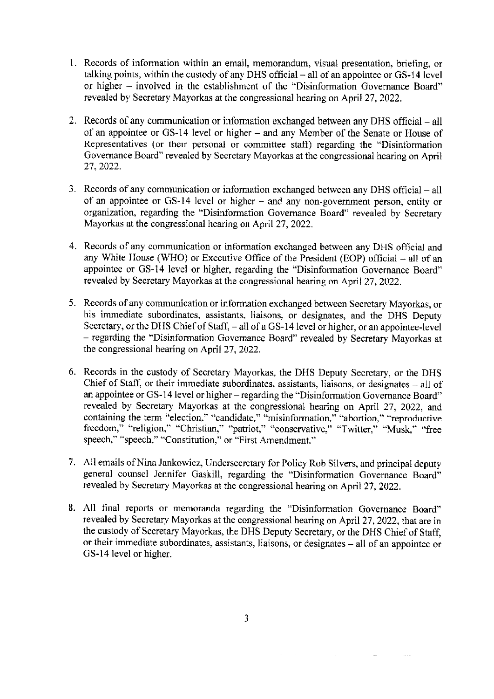- 1. Records of information within an email, memorandum, visual presentation, briefing, or talking points, within the custody of any DHS official  $-$  all of an appointee or GS-14 level or higher - involved in the establishment of the "Disinformation Governance Board" revealed by Secretary Mayorkas at the congressional hearing on April 27, 2022.
- 2. Records of any communication or information exchanged between any DHS official all of an appointee or GS-14 level or higher - and any Member of the Senate or House of Representatives (or their personal or committee staff) regarding the "Disinformation Governance Board" revealed by Secretary Mayorkas at the congressional hearing on April 27, 2022.
- 3. Records of any communication or information exchanged between any OHS official all of an appointee or GS-14 level or higher - and any non-government person, entity or organization, regarding the "Disinformation Governance Board" revealed by Secretary Mayorkas at the congressional hearing on April 27, 2022.
- 4. Records of any communication or information exchanged between any DHS official and any White House (WHO) or Executive Office of the President (EOP) official - all of an appointee or GS-14 level or higher, regarding the "Disinformation Governance Board" revealed by Secretary Mayorkas at the congressional hearing on April 27, 2022.
- 5. Records of any communication or information exchanged between Secretary Mayorkas, or his immediate subordinates, assistants, liaisons, or designates, and the DHS Deputy Secretary, or the DHS Chief of Staff, - all of a GS-14 level or higher, or an appointee-level - regarding the "Disinformation Governance Board" revealed by Secretary Mayorkas at the congressional hearing on April 27, 2022.
- 6. Records in the custody of Secretary Mayorkas, the OHS Deputy Secretary, or the OHS Chief of Staff, or their immediate subordinates, assistants, liaisons, or designates  $-$  all of an appointee or GS-14 level or higher- regarding the "Disinformation Governance Board" revealed by Secretary Mayorkas at the congressional hearing on April 27, 2022, and containing the term "election," "candidate," "misinformation," "abortion," "reproductive freedom," "religion," "Christian," "patriot," "conservative," "Twitter," "Musk," "free speech," "speech," "Constitution," or "First Amendment."
- 7. All emails of Nina Jankowicz, Undersecretary for Policy Rob Silvers, and principal deputy general counsel Jennifer Gaskill, regarding the "Disinformation Governance Board" revealed by Secretary Mayorkas at the congressional hearing on April 27, 2022.
- 8. All final reports or memoranda regarding the "Disinformation Governance Board" revealed by Secretary Mayorkas at the congressional hearing on April 27, 2022, that are in the custody of Secretary Mayorkas, the OHS Deputy Secretary, or the DHS Chief of Staff, or their immediate subordinates, assistants, liaisons, or designates - all of an appointee or GS-14 level or higher.